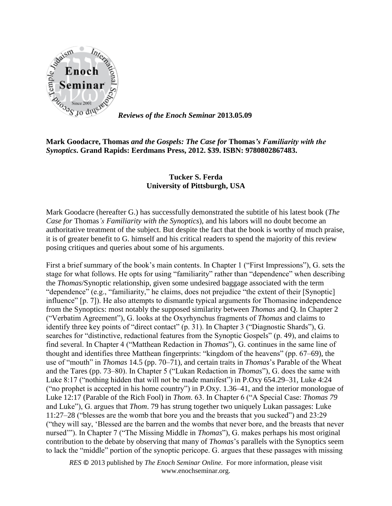

*Reviews of the Enoch Seminar* **2013.05.09**

## **Mark Goodacre, Thomas** *and the Gospels: The Case for* **Thomas***'s Familiarity with the Synoptics***. Grand Rapids: Eerdmans Press, 2012. \$39. ISBN: 9780802867483.**

## **Tucker S. Ferda University of Pittsburgh, USA**

Mark Goodacre (hereafter G.) has successfully demonstrated the subtitle of his latest book (*The Case for* Thomas*'s Familiarity with the Synoptics*), and his labors will no doubt become an authoritative treatment of the subject. But despite the fact that the book is worthy of much praise, it is of greater benefit to G. himself and his critical readers to spend the majority of this review posing critiques and queries about some of his arguments.

First a brief summary of the book's main contents. In Chapter 1 ("First Impressions"), G. sets the stage for what follows. He opts for using "familiarity" rather than "dependence" when describing the *Thomas*/Synoptic relationship, given some undesired baggage associated with the term "dependence" (e.g., "familiarity," he claims, does not prejudice "the extent of their [Synoptic] influence" [p. 7]). He also attempts to dismantle typical arguments for Thomasine independence from the Synoptics: most notably the supposed similarity between *Thomas* and Q. In Chapter 2 ("Verbatim Agreement"), G. looks at the Oxyrhynchus fragments of *Thomas* and claims to identify three key points of "direct contact" (p. 31). In Chapter 3 ("Diagnostic Shards"), G. searches for "distinctive, redactional features from the Synoptic Gospels" (p. 49), and claims to find several. In Chapter 4 ("Matthean Redaction in *Thomas*"), G. continues in the same line of thought and identifies three Matthean fingerprints: "kingdom of the heavens" (pp. 67–69), the use of "mouth" in *Thomas* 14.5 (pp. 70–71), and certain traits in *Thomas*'s Parable of the Wheat and the Tares (pp. 73–80). In Chapter 5 ("Lukan Redaction in *Thomas*"), G. does the same with Luke 8:17 ("nothing hidden that will not be made manifest") in P.Oxy 654.29–31, Luke 4:24 ("no prophet is accepted in his home country") in P.Oxy. 1.36–41, and the interior monologue of Luke 12:17 (Parable of the Rich Fool) in *Thom*. 63. In Chapter 6 ("A Special Case: *Thomas 79* and Luke"), G. argues that *Thom*. 79 has strung together two uniquely Lukan passages: Luke 11:27–28 ("blesses are the womb that bore you and the breasts that you sucked") and 23:29 ("they will say, 'Blessed are the barren and the wombs that never bore, and the breasts that never nursed'"). In Chapter 7 ("The Missing Middle in *Thomas*"), G. makes perhaps his most original contribution to the debate by observing that many of *Thomas*'s parallels with the Synoptics seem to lack the "middle" portion of the synoptic pericope. G. argues that these passages with missing

*RES* © 2013 published by *The Enoch Seminar Online*. For more information, please visit www.enochseminar.org.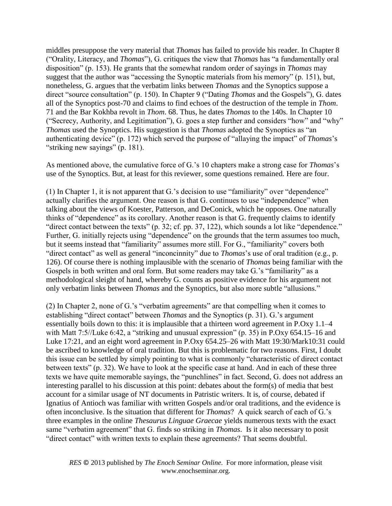middles presuppose the very material that *Thomas* has failed to provide his reader. In Chapter 8 ("Orality, Literacy, and *Thomas*"), G. critiques the view that *Thomas* has "a fundamentally oral disposition" (p. 153). He grants that the somewhat random order of sayings in *Thomas* may suggest that the author was "accessing the Synoptic materials from his memory" (p. 151), but, nonetheless, G. argues that the verbatim links between *Thomas* and the Synoptics suppose a direct "source consultation" (p. 150). In Chapter 9 ("Dating *Thomas* and the Gospels"), G. dates all of the Synoptics post-70 and claims to find echoes of the destruction of the temple in *Thom*. 71 and the Bar Kokhba revolt in *Thom*. 68. Thus, he dates *Thomas* to the 140s. In Chapter 10 ("Secrecy, Authority, and Legitimation"), G. goes a step further and considers "how" and "why" *Thomas* used the Synoptics. His suggestion is that *Thomas* adopted the Synoptics as "an authenticating device" (p. 172) which served the purpose of "allaying the impact" of *Thomas*'s "striking new sayings" (p. 181).

As mentioned above, the cumulative force of G.'s 10 chapters make a strong case for *Thomas*'s use of the Synoptics. But, at least for this reviewer, some questions remained. Here are four.

(1) In Chapter 1, it is not apparent that G.'s decision to use "familiarity" over "dependence" actually clarifies the argument. One reason is that G. continues to use "independence" when talking about the views of Koester, Patterson, and DeConick, which he opposes. One naturally thinks of "dependence" as its corollary. Another reason is that G. frequently claims to identify "direct contact between the texts" (p. 32; cf. pp. 37, 122), which sounds a lot like "dependence." Further, G. initially rejects using "dependence" on the grounds that the term assumes too much, but it seems instead that "familiarity" assumes more still. For G., "familiarity" covers both "direct contact" as well as general "inconcinnity" due to *Thomas*'s use of oral tradition (e.g., p. 126). Of course there is nothing implausible with the scenario of *Thomas* being familiar with the Gospels in both written and oral form. But some readers may take G.'s "familiarity" as a methodological sleight of hand, whereby G. counts as positive evidence for his argument not only verbatim links between *Thomas* and the Synoptics, but also more subtle "allusions."

(2) In Chapter 2, none of G.'s "verbatim agreements" are that compelling when it comes to establishing "direct contact" between *Thomas* and the Synoptics (p. 31). G.'s argument essentially boils down to this: it is implausible that a thirteen word agreement in P.Oxy 1.1–4 with Matt 7:5//Luke 6:42, a "striking and unusual expression" (p. 35) in P.Oxy 654.15–16 and Luke 17:21, and an eight word agreement in P.Oxy 654.25–26 with Matt 19:30/Mark10:31 could be ascribed to knowledge of oral tradition. But this is problematic for two reasons. First, I doubt this issue can be settled by simply pointing to what is commonly "characteristic of direct contact between texts" (p. 32). We have to look at the specific case at hand. And in each of these three texts we have quite memorable sayings, the "punchlines" in fact. Second, G. does not address an interesting parallel to his discussion at this point: debates about the form(s) of media that best account for a similar usage of NT documents in Patristic writers. It is, of course, debated if Ignatius of Antioch was familiar with written Gospels and/or oral traditions, and the evidence is often inconclusive. Is the situation that different for *Thomas*? A quick search of each of G.'s three examples in the online *Thesaurus Linguae Graecae* yields numerous texts with the exact same "verbatim agreement" that G. finds so striking in *Thomas*. Is it also necessary to posit "direct contact" with written texts to explain these agreements? That seems doubtful.

*RES* © 2013 published by *The Enoch Seminar Online*. For more information, please visit www.enochseminar.org.